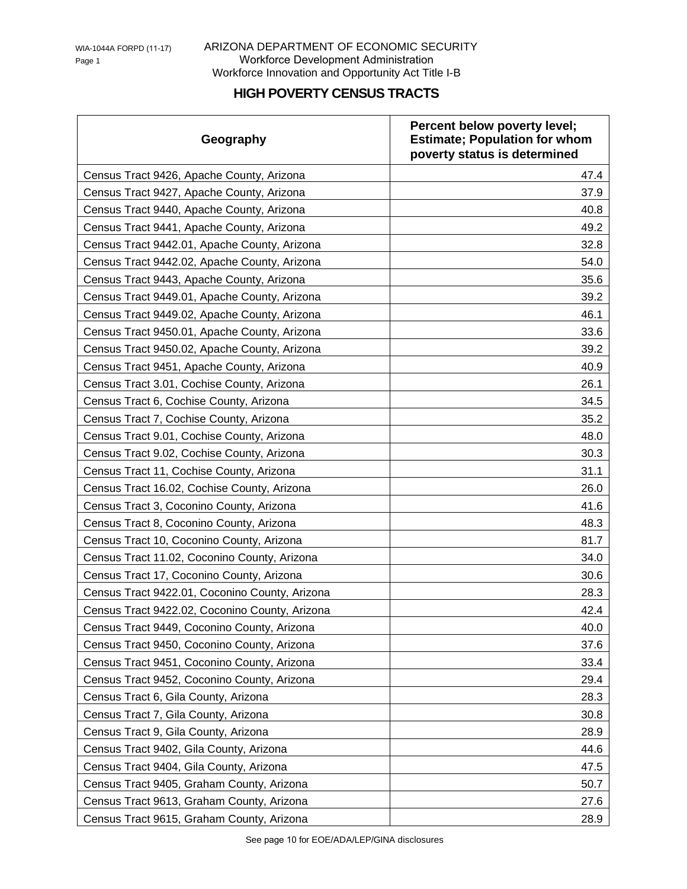## ARIZONA DEPARTMENT OF ECONOMIC SECURITY Workforce Development Administration Workforce Innovation and Opportunity Act Title I-B

## **HIGH POVERTY CENSUS TRACTS**

| Geography                                      | Percent below poverty level;<br><b>Estimate; Population for whom</b><br>poverty status is determined |
|------------------------------------------------|------------------------------------------------------------------------------------------------------|
| Census Tract 9426, Apache County, Arizona      | 47.4                                                                                                 |
| Census Tract 9427, Apache County, Arizona      | 37.9                                                                                                 |
| Census Tract 9440, Apache County, Arizona      | 40.8                                                                                                 |
| Census Tract 9441, Apache County, Arizona      | 49.2                                                                                                 |
| Census Tract 9442.01, Apache County, Arizona   | 32.8                                                                                                 |
| Census Tract 9442.02, Apache County, Arizona   | 54.0                                                                                                 |
| Census Tract 9443, Apache County, Arizona      | 35.6                                                                                                 |
| Census Tract 9449.01, Apache County, Arizona   | 39.2                                                                                                 |
| Census Tract 9449.02, Apache County, Arizona   | 46.1                                                                                                 |
| Census Tract 9450.01, Apache County, Arizona   | 33.6                                                                                                 |
| Census Tract 9450.02, Apache County, Arizona   | 39.2                                                                                                 |
| Census Tract 9451, Apache County, Arizona      | 40.9                                                                                                 |
| Census Tract 3.01, Cochise County, Arizona     | 26.1                                                                                                 |
| Census Tract 6, Cochise County, Arizona        | 34.5                                                                                                 |
| Census Tract 7, Cochise County, Arizona        | 35.2                                                                                                 |
| Census Tract 9.01, Cochise County, Arizona     | 48.0                                                                                                 |
| Census Tract 9.02, Cochise County, Arizona     | 30.3                                                                                                 |
| Census Tract 11, Cochise County, Arizona       | 31.1                                                                                                 |
| Census Tract 16.02, Cochise County, Arizona    | 26.0                                                                                                 |
| Census Tract 3, Coconino County, Arizona       | 41.6                                                                                                 |
| Census Tract 8, Coconino County, Arizona       | 48.3                                                                                                 |
| Census Tract 10, Coconino County, Arizona      | 81.7                                                                                                 |
| Census Tract 11.02, Coconino County, Arizona   | 34.0                                                                                                 |
| Census Tract 17, Coconino County, Arizona      | 30.6                                                                                                 |
| Census Tract 9422.01, Coconino County, Arizona | 28.3                                                                                                 |
| Census Tract 9422.02, Coconino County, Arizona | 42.4                                                                                                 |
| Census Tract 9449, Coconino County, Arizona    | 40.0                                                                                                 |
| Census Tract 9450, Coconino County, Arizona    | 37.6                                                                                                 |
| Census Tract 9451, Coconino County, Arizona    | 33.4                                                                                                 |
| Census Tract 9452, Coconino County, Arizona    | 29.4                                                                                                 |
| Census Tract 6, Gila County, Arizona           | 28.3                                                                                                 |
| Census Tract 7, Gila County, Arizona           | 30.8                                                                                                 |
| Census Tract 9, Gila County, Arizona           | 28.9                                                                                                 |
| Census Tract 9402, Gila County, Arizona        | 44.6                                                                                                 |
| Census Tract 9404, Gila County, Arizona        | 47.5                                                                                                 |
| Census Tract 9405, Graham County, Arizona      | 50.7                                                                                                 |
| Census Tract 9613, Graham County, Arizona      | 27.6                                                                                                 |
| Census Tract 9615, Graham County, Arizona      | 28.9                                                                                                 |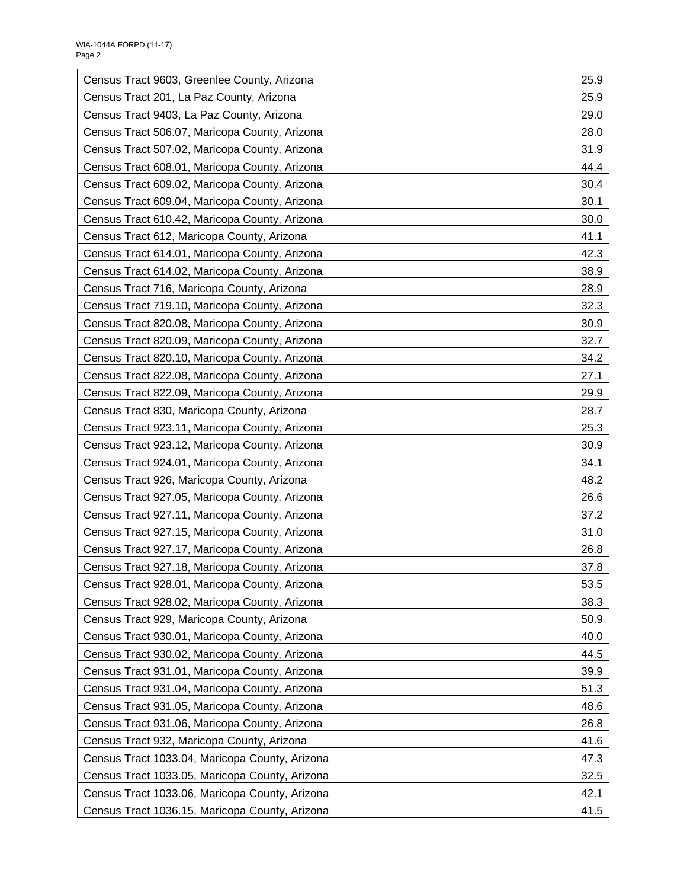| Census Tract 9603, Greenlee County, Arizona    | 25.9 |
|------------------------------------------------|------|
| Census Tract 201, La Paz County, Arizona       | 25.9 |
| Census Tract 9403, La Paz County, Arizona      | 29.0 |
| Census Tract 506.07, Maricopa County, Arizona  | 28.0 |
| Census Tract 507.02, Maricopa County, Arizona  | 31.9 |
| Census Tract 608.01, Maricopa County, Arizona  | 44.4 |
| Census Tract 609.02, Maricopa County, Arizona  | 30.4 |
| Census Tract 609.04, Maricopa County, Arizona  | 30.1 |
| Census Tract 610.42, Maricopa County, Arizona  | 30.0 |
| Census Tract 612, Maricopa County, Arizona     | 41.1 |
| Census Tract 614.01, Maricopa County, Arizona  | 42.3 |
| Census Tract 614.02, Maricopa County, Arizona  | 38.9 |
| Census Tract 716, Maricopa County, Arizona     | 28.9 |
| Census Tract 719.10, Maricopa County, Arizona  | 32.3 |
| Census Tract 820.08, Maricopa County, Arizona  | 30.9 |
| Census Tract 820.09, Maricopa County, Arizona  | 32.7 |
| Census Tract 820.10, Maricopa County, Arizona  | 34.2 |
| Census Tract 822.08, Maricopa County, Arizona  | 27.1 |
| Census Tract 822.09, Maricopa County, Arizona  | 29.9 |
| Census Tract 830, Maricopa County, Arizona     | 28.7 |
| Census Tract 923.11, Maricopa County, Arizona  | 25.3 |
| Census Tract 923.12, Maricopa County, Arizona  | 30.9 |
| Census Tract 924.01, Maricopa County, Arizona  | 34.1 |
| Census Tract 926, Maricopa County, Arizona     | 48.2 |
| Census Tract 927.05, Maricopa County, Arizona  | 26.6 |
| Census Tract 927.11, Maricopa County, Arizona  | 37.2 |
| Census Tract 927.15, Maricopa County, Arizona  | 31.0 |
| Census Tract 927.17, Maricopa County, Arizona  | 26.8 |
| Census Tract 927.18, Maricopa County, Arizona  | 37.8 |
| Census Tract 928.01, Maricopa County, Arizona  | 53.5 |
| Census Tract 928.02, Maricopa County, Arizona  | 38.3 |
| Census Tract 929, Maricopa County, Arizona     | 50.9 |
| Census Tract 930.01, Maricopa County, Arizona  | 40.0 |
| Census Tract 930.02, Maricopa County, Arizona  | 44.5 |
| Census Tract 931.01, Maricopa County, Arizona  | 39.9 |
| Census Tract 931.04, Maricopa County, Arizona  | 51.3 |
| Census Tract 931.05, Maricopa County, Arizona  | 48.6 |
| Census Tract 931.06, Maricopa County, Arizona  | 26.8 |
| Census Tract 932, Maricopa County, Arizona     | 41.6 |
| Census Tract 1033.04, Maricopa County, Arizona | 47.3 |
| Census Tract 1033.05, Maricopa County, Arizona | 32.5 |
| Census Tract 1033.06, Maricopa County, Arizona | 42.1 |
| Census Tract 1036.15, Maricopa County, Arizona | 41.5 |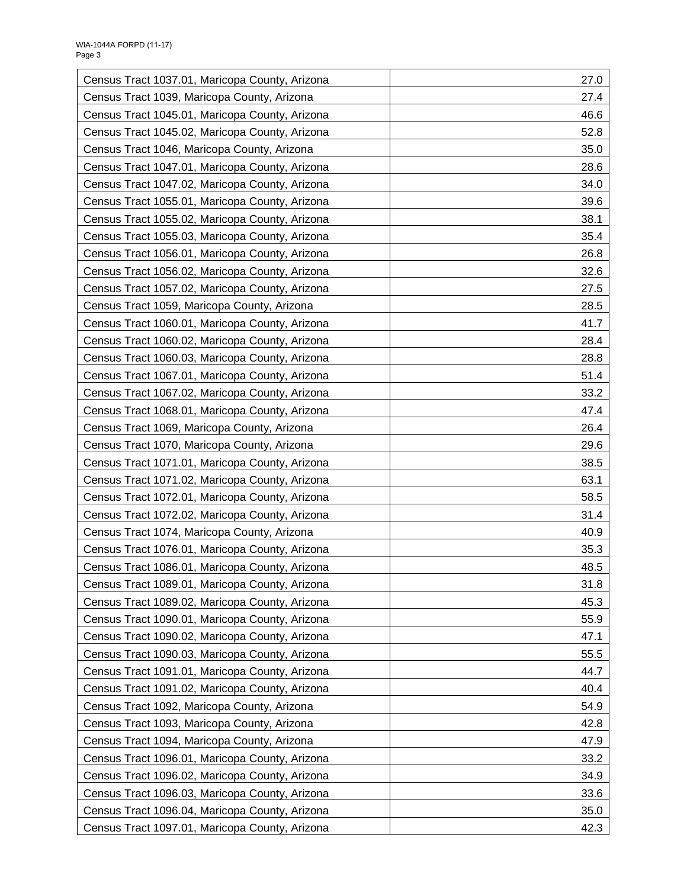| Census Tract 1037.01, Maricopa County, Arizona | 27.0 |
|------------------------------------------------|------|
| Census Tract 1039, Maricopa County, Arizona    | 27.4 |
| Census Tract 1045.01, Maricopa County, Arizona | 46.6 |
| Census Tract 1045.02, Maricopa County, Arizona | 52.8 |
| Census Tract 1046, Maricopa County, Arizona    | 35.0 |
| Census Tract 1047.01, Maricopa County, Arizona | 28.6 |
| Census Tract 1047.02, Maricopa County, Arizona | 34.0 |
| Census Tract 1055.01, Maricopa County, Arizona | 39.6 |
| Census Tract 1055.02, Maricopa County, Arizona | 38.1 |
| Census Tract 1055.03, Maricopa County, Arizona | 35.4 |
| Census Tract 1056.01, Maricopa County, Arizona | 26.8 |
| Census Tract 1056.02, Maricopa County, Arizona | 32.6 |
| Census Tract 1057.02, Maricopa County, Arizona | 27.5 |
| Census Tract 1059, Maricopa County, Arizona    | 28.5 |
| Census Tract 1060.01, Maricopa County, Arizona | 41.7 |
| Census Tract 1060.02, Maricopa County, Arizona | 28.4 |
| Census Tract 1060.03, Maricopa County, Arizona | 28.8 |
| Census Tract 1067.01, Maricopa County, Arizona | 51.4 |
| Census Tract 1067.02, Maricopa County, Arizona | 33.2 |
| Census Tract 1068.01, Maricopa County, Arizona | 47.4 |
| Census Tract 1069, Maricopa County, Arizona    | 26.4 |
| Census Tract 1070, Maricopa County, Arizona    | 29.6 |
| Census Tract 1071.01, Maricopa County, Arizona | 38.5 |
| Census Tract 1071.02, Maricopa County, Arizona | 63.1 |
| Census Tract 1072.01, Maricopa County, Arizona | 58.5 |
| Census Tract 1072.02, Maricopa County, Arizona | 31.4 |
| Census Tract 1074, Maricopa County, Arizona    | 40.9 |
| Census Tract 1076.01, Maricopa County, Arizona | 35.3 |
| Census Tract 1086.01, Maricopa County, Arizona | 48.5 |
| Census Tract 1089.01, Maricopa County, Arizona | 31.8 |
| Census Tract 1089.02, Maricopa County, Arizona | 45.3 |
| Census Tract 1090.01, Maricopa County, Arizona | 55.9 |
| Census Tract 1090.02, Maricopa County, Arizona | 47.1 |
| Census Tract 1090.03, Maricopa County, Arizona | 55.5 |
| Census Tract 1091.01, Maricopa County, Arizona | 44.7 |
| Census Tract 1091.02, Maricopa County, Arizona | 40.4 |
| Census Tract 1092, Maricopa County, Arizona    | 54.9 |
| Census Tract 1093, Maricopa County, Arizona    | 42.8 |
| Census Tract 1094, Maricopa County, Arizona    | 47.9 |
| Census Tract 1096.01, Maricopa County, Arizona | 33.2 |
| Census Tract 1096.02, Maricopa County, Arizona | 34.9 |
| Census Tract 1096.03, Maricopa County, Arizona | 33.6 |
| Census Tract 1096.04, Maricopa County, Arizona | 35.0 |
| Census Tract 1097.01, Maricopa County, Arizona | 42.3 |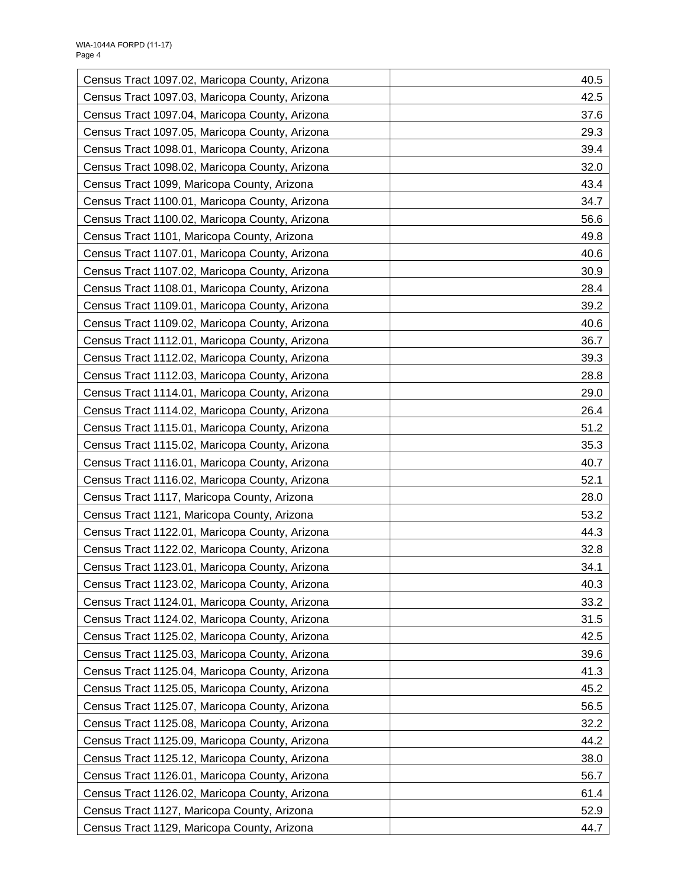| Census Tract 1097.02, Maricopa County, Arizona | 40.5 |
|------------------------------------------------|------|
| Census Tract 1097.03, Maricopa County, Arizona | 42.5 |
| Census Tract 1097.04, Maricopa County, Arizona | 37.6 |
| Census Tract 1097.05, Maricopa County, Arizona | 29.3 |
| Census Tract 1098.01, Maricopa County, Arizona | 39.4 |
| Census Tract 1098.02, Maricopa County, Arizona | 32.0 |
| Census Tract 1099, Maricopa County, Arizona    | 43.4 |
| Census Tract 1100.01, Maricopa County, Arizona | 34.7 |
| Census Tract 1100.02, Maricopa County, Arizona | 56.6 |
| Census Tract 1101, Maricopa County, Arizona    | 49.8 |
| Census Tract 1107.01, Maricopa County, Arizona | 40.6 |
| Census Tract 1107.02, Maricopa County, Arizona | 30.9 |
| Census Tract 1108.01, Maricopa County, Arizona | 28.4 |
| Census Tract 1109.01, Maricopa County, Arizona | 39.2 |
| Census Tract 1109.02, Maricopa County, Arizona | 40.6 |
| Census Tract 1112.01, Maricopa County, Arizona | 36.7 |
| Census Tract 1112.02, Maricopa County, Arizona | 39.3 |
| Census Tract 1112.03, Maricopa County, Arizona | 28.8 |
| Census Tract 1114.01, Maricopa County, Arizona | 29.0 |
| Census Tract 1114.02, Maricopa County, Arizona | 26.4 |
| Census Tract 1115.01, Maricopa County, Arizona | 51.2 |
| Census Tract 1115.02, Maricopa County, Arizona | 35.3 |
| Census Tract 1116.01, Maricopa County, Arizona | 40.7 |
| Census Tract 1116.02, Maricopa County, Arizona | 52.1 |
| Census Tract 1117, Maricopa County, Arizona    | 28.0 |
| Census Tract 1121, Maricopa County, Arizona    | 53.2 |
| Census Tract 1122.01, Maricopa County, Arizona | 44.3 |
| Census Tract 1122.02, Maricopa County, Arizona | 32.8 |
| Census Tract 1123.01, Maricopa County, Arizona | 34.1 |
| Census Tract 1123.02, Maricopa County, Arizona | 40.3 |
| Census Tract 1124.01, Maricopa County, Arizona | 33.2 |
| Census Tract 1124.02, Maricopa County, Arizona | 31.5 |
| Census Tract 1125.02, Maricopa County, Arizona | 42.5 |
| Census Tract 1125.03, Maricopa County, Arizona | 39.6 |
| Census Tract 1125.04, Maricopa County, Arizona | 41.3 |
| Census Tract 1125.05, Maricopa County, Arizona | 45.2 |
| Census Tract 1125.07, Maricopa County, Arizona | 56.5 |
| Census Tract 1125.08, Maricopa County, Arizona | 32.2 |
| Census Tract 1125.09, Maricopa County, Arizona | 44.2 |
| Census Tract 1125.12, Maricopa County, Arizona | 38.0 |
| Census Tract 1126.01, Maricopa County, Arizona | 56.7 |
| Census Tract 1126.02, Maricopa County, Arizona | 61.4 |
| Census Tract 1127, Maricopa County, Arizona    | 52.9 |
| Census Tract 1129, Maricopa County, Arizona    | 44.7 |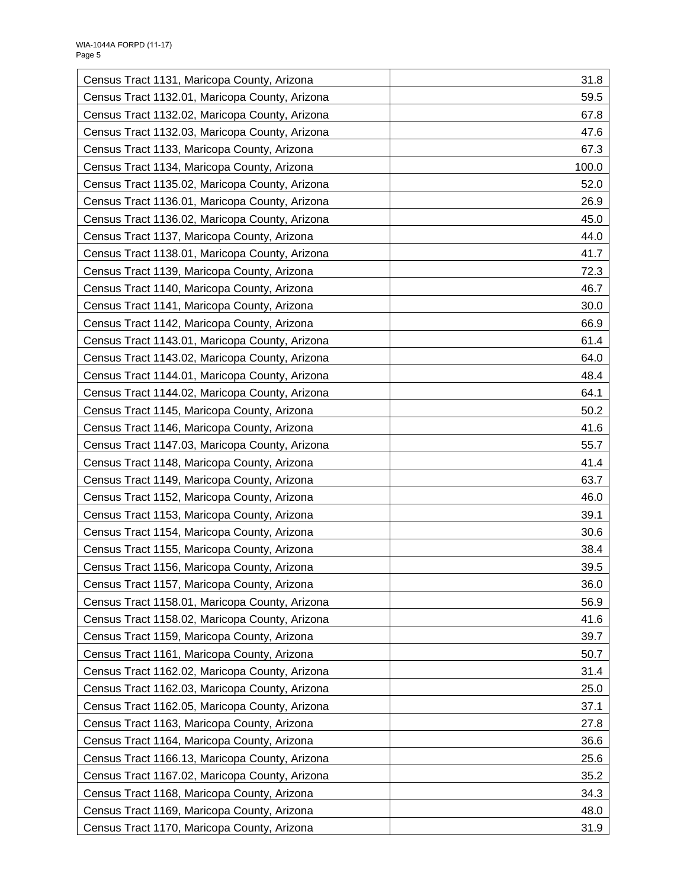| Census Tract 1131, Maricopa County, Arizona    | 31.8  |
|------------------------------------------------|-------|
| Census Tract 1132.01, Maricopa County, Arizona | 59.5  |
| Census Tract 1132.02, Maricopa County, Arizona | 67.8  |
| Census Tract 1132.03, Maricopa County, Arizona | 47.6  |
| Census Tract 1133, Maricopa County, Arizona    | 67.3  |
| Census Tract 1134, Maricopa County, Arizona    | 100.0 |
| Census Tract 1135.02, Maricopa County, Arizona | 52.0  |
| Census Tract 1136.01, Maricopa County, Arizona | 26.9  |
| Census Tract 1136.02, Maricopa County, Arizona | 45.0  |
| Census Tract 1137, Maricopa County, Arizona    | 44.0  |
| Census Tract 1138.01, Maricopa County, Arizona | 41.7  |
| Census Tract 1139, Maricopa County, Arizona    | 72.3  |
| Census Tract 1140, Maricopa County, Arizona    | 46.7  |
| Census Tract 1141, Maricopa County, Arizona    | 30.0  |
| Census Tract 1142, Maricopa County, Arizona    | 66.9  |
| Census Tract 1143.01, Maricopa County, Arizona | 61.4  |
| Census Tract 1143.02, Maricopa County, Arizona | 64.0  |
| Census Tract 1144.01, Maricopa County, Arizona | 48.4  |
| Census Tract 1144.02, Maricopa County, Arizona | 64.1  |
| Census Tract 1145, Maricopa County, Arizona    | 50.2  |
| Census Tract 1146, Maricopa County, Arizona    | 41.6  |
| Census Tract 1147.03, Maricopa County, Arizona | 55.7  |
| Census Tract 1148, Maricopa County, Arizona    | 41.4  |
| Census Tract 1149, Maricopa County, Arizona    | 63.7  |
| Census Tract 1152, Maricopa County, Arizona    | 46.0  |
| Census Tract 1153, Maricopa County, Arizona    | 39.1  |
| Census Tract 1154, Maricopa County, Arizona    | 30.6  |
| Census Tract 1155, Maricopa County, Arizona    | 38.4  |
| Census Tract 1156, Maricopa County, Arizona    | 39.5  |
| Census Tract 1157, Maricopa County, Arizona    | 36.0  |
| Census Tract 1158.01, Maricopa County, Arizona | 56.9  |
| Census Tract 1158.02, Maricopa County, Arizona | 41.6  |
| Census Tract 1159, Maricopa County, Arizona    | 39.7  |
| Census Tract 1161, Maricopa County, Arizona    | 50.7  |
| Census Tract 1162.02, Maricopa County, Arizona | 31.4  |
| Census Tract 1162.03, Maricopa County, Arizona | 25.0  |
| Census Tract 1162.05, Maricopa County, Arizona | 37.1  |
| Census Tract 1163, Maricopa County, Arizona    | 27.8  |
| Census Tract 1164, Maricopa County, Arizona    | 36.6  |
| Census Tract 1166.13, Maricopa County, Arizona | 25.6  |
| Census Tract 1167.02, Maricopa County, Arizona | 35.2  |
| Census Tract 1168, Maricopa County, Arizona    | 34.3  |
| Census Tract 1169, Maricopa County, Arizona    | 48.0  |
| Census Tract 1170, Maricopa County, Arizona    | 31.9  |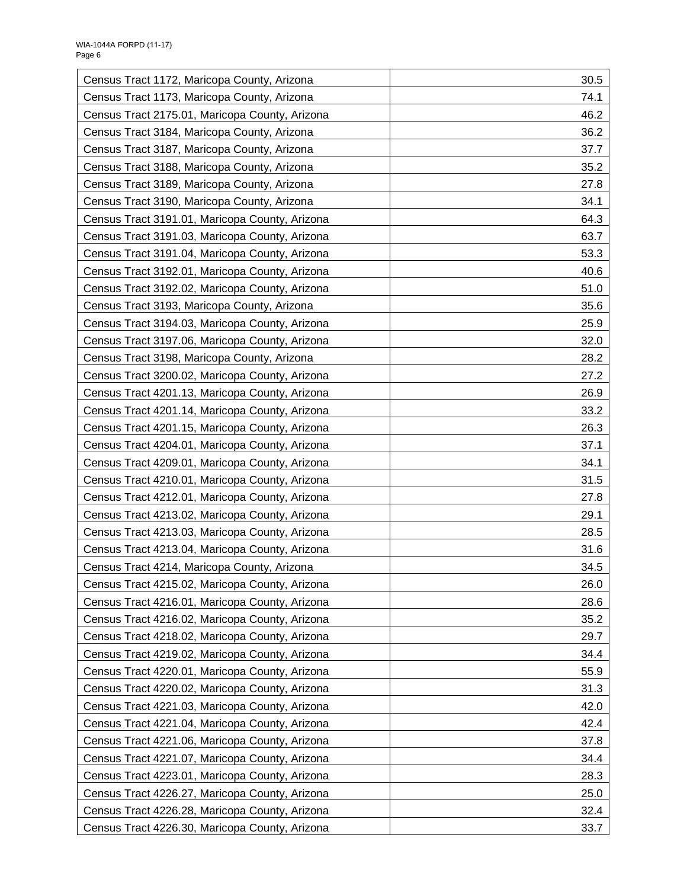| Census Tract 1172, Maricopa County, Arizona    | 30.5 |
|------------------------------------------------|------|
| Census Tract 1173, Maricopa County, Arizona    | 74.1 |
| Census Tract 2175.01, Maricopa County, Arizona | 46.2 |
| Census Tract 3184, Maricopa County, Arizona    | 36.2 |
| Census Tract 3187, Maricopa County, Arizona    | 37.7 |
| Census Tract 3188, Maricopa County, Arizona    | 35.2 |
| Census Tract 3189, Maricopa County, Arizona    | 27.8 |
| Census Tract 3190, Maricopa County, Arizona    | 34.1 |
| Census Tract 3191.01, Maricopa County, Arizona | 64.3 |
| Census Tract 3191.03, Maricopa County, Arizona | 63.7 |
| Census Tract 3191.04, Maricopa County, Arizona | 53.3 |
| Census Tract 3192.01, Maricopa County, Arizona | 40.6 |
| Census Tract 3192.02, Maricopa County, Arizona | 51.0 |
| Census Tract 3193, Maricopa County, Arizona    | 35.6 |
| Census Tract 3194.03, Maricopa County, Arizona | 25.9 |
| Census Tract 3197.06, Maricopa County, Arizona | 32.0 |
| Census Tract 3198, Maricopa County, Arizona    | 28.2 |
| Census Tract 3200.02, Maricopa County, Arizona | 27.2 |
| Census Tract 4201.13, Maricopa County, Arizona | 26.9 |
| Census Tract 4201.14, Maricopa County, Arizona | 33.2 |
| Census Tract 4201.15, Maricopa County, Arizona | 26.3 |
| Census Tract 4204.01, Maricopa County, Arizona | 37.1 |
| Census Tract 4209.01, Maricopa County, Arizona | 34.1 |
| Census Tract 4210.01, Maricopa County, Arizona | 31.5 |
| Census Tract 4212.01, Maricopa County, Arizona | 27.8 |
| Census Tract 4213.02, Maricopa County, Arizona | 29.1 |
| Census Tract 4213.03, Maricopa County, Arizona | 28.5 |
| Census Tract 4213.04, Maricopa County, Arizona | 31.6 |
| Census Tract 4214, Maricopa County, Arizona    | 34.5 |
| Census Tract 4215.02, Maricopa County, Arizona | 26.0 |
| Census Tract 4216.01, Maricopa County, Arizona | 28.6 |
| Census Tract 4216.02, Maricopa County, Arizona | 35.2 |
| Census Tract 4218.02, Maricopa County, Arizona | 29.7 |
| Census Tract 4219.02, Maricopa County, Arizona | 34.4 |
| Census Tract 4220.01, Maricopa County, Arizona | 55.9 |
| Census Tract 4220.02, Maricopa County, Arizona | 31.3 |
| Census Tract 4221.03, Maricopa County, Arizona | 42.0 |
| Census Tract 4221.04, Maricopa County, Arizona | 42.4 |
| Census Tract 4221.06, Maricopa County, Arizona | 37.8 |
| Census Tract 4221.07, Maricopa County, Arizona | 34.4 |
| Census Tract 4223.01, Maricopa County, Arizona | 28.3 |
| Census Tract 4226.27, Maricopa County, Arizona | 25.0 |
| Census Tract 4226.28, Maricopa County, Arizona | 32.4 |
| Census Tract 4226.30, Maricopa County, Arizona | 33.7 |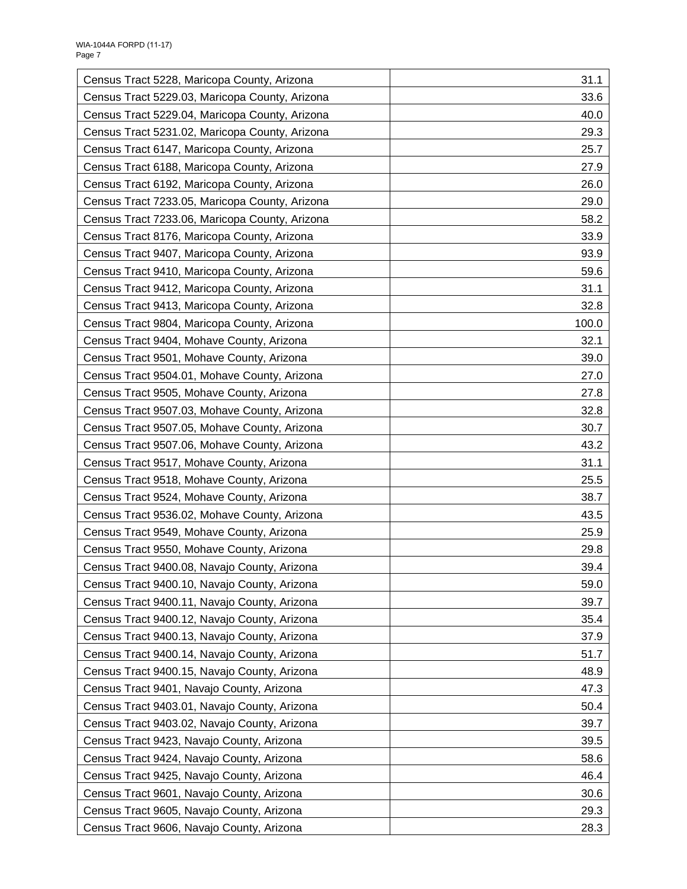| Census Tract 5228, Maricopa County, Arizona    | 31.1  |
|------------------------------------------------|-------|
| Census Tract 5229.03, Maricopa County, Arizona | 33.6  |
| Census Tract 5229.04, Maricopa County, Arizona | 40.0  |
| Census Tract 5231.02, Maricopa County, Arizona | 29.3  |
| Census Tract 6147, Maricopa County, Arizona    | 25.7  |
| Census Tract 6188, Maricopa County, Arizona    | 27.9  |
| Census Tract 6192, Maricopa County, Arizona    | 26.0  |
| Census Tract 7233.05, Maricopa County, Arizona | 29.0  |
| Census Tract 7233.06, Maricopa County, Arizona | 58.2  |
| Census Tract 8176, Maricopa County, Arizona    | 33.9  |
| Census Tract 9407, Maricopa County, Arizona    | 93.9  |
| Census Tract 9410, Maricopa County, Arizona    | 59.6  |
| Census Tract 9412, Maricopa County, Arizona    | 31.1  |
| Census Tract 9413, Maricopa County, Arizona    | 32.8  |
| Census Tract 9804, Maricopa County, Arizona    | 100.0 |
| Census Tract 9404, Mohave County, Arizona      | 32.1  |
| Census Tract 9501, Mohave County, Arizona      | 39.0  |
| Census Tract 9504.01, Mohave County, Arizona   | 27.0  |
| Census Tract 9505, Mohave County, Arizona      | 27.8  |
| Census Tract 9507.03, Mohave County, Arizona   | 32.8  |
| Census Tract 9507.05, Mohave County, Arizona   | 30.7  |
| Census Tract 9507.06, Mohave County, Arizona   | 43.2  |
| Census Tract 9517, Mohave County, Arizona      | 31.1  |
| Census Tract 9518, Mohave County, Arizona      | 25.5  |
| Census Tract 9524, Mohave County, Arizona      | 38.7  |
| Census Tract 9536.02, Mohave County, Arizona   | 43.5  |
| Census Tract 9549, Mohave County, Arizona      | 25.9  |
| Census Tract 9550, Mohave County, Arizona      | 29.8  |
| Census Tract 9400.08, Navajo County, Arizona   | 39.4  |
| Census Tract 9400.10, Navajo County, Arizona   | 59.0  |
| Census Tract 9400.11, Navajo County, Arizona   | 39.7  |
| Census Tract 9400.12, Navajo County, Arizona   | 35.4  |
| Census Tract 9400.13, Navajo County, Arizona   | 37.9  |
| Census Tract 9400.14, Navajo County, Arizona   | 51.7  |
| Census Tract 9400.15, Navajo County, Arizona   | 48.9  |
| Census Tract 9401, Navajo County, Arizona      | 47.3  |
| Census Tract 9403.01, Navajo County, Arizona   | 50.4  |
| Census Tract 9403.02, Navajo County, Arizona   | 39.7  |
| Census Tract 9423, Navajo County, Arizona      | 39.5  |
| Census Tract 9424, Navajo County, Arizona      | 58.6  |
| Census Tract 9425, Navajo County, Arizona      | 46.4  |
| Census Tract 9601, Navajo County, Arizona      | 30.6  |
| Census Tract 9605, Navajo County, Arizona      | 29.3  |
| Census Tract 9606, Navajo County, Arizona      | 28.3  |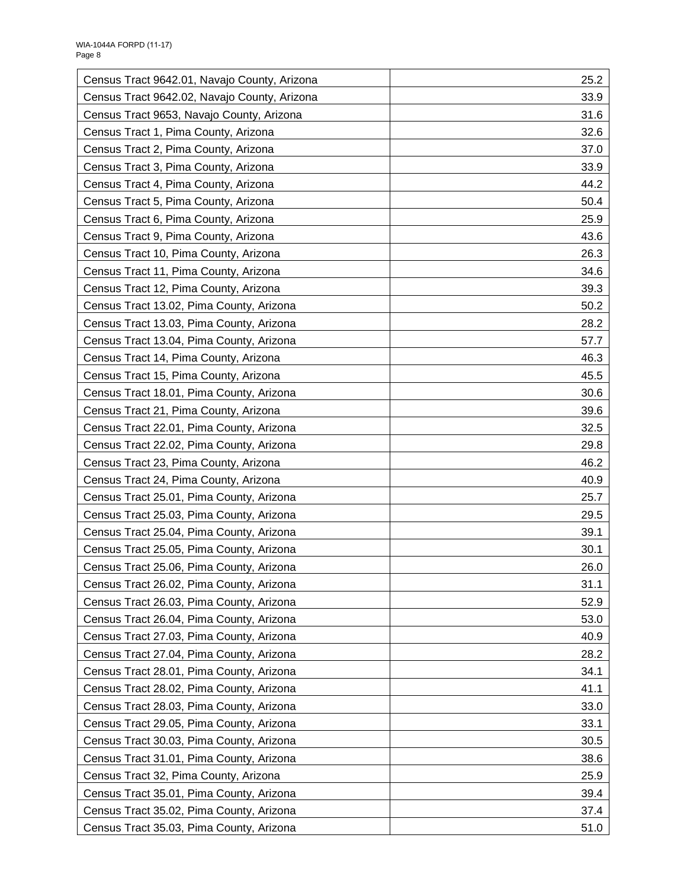| Census Tract 9642.01, Navajo County, Arizona | 25.2 |
|----------------------------------------------|------|
| Census Tract 9642.02, Navajo County, Arizona | 33.9 |
| Census Tract 9653, Navajo County, Arizona    | 31.6 |
| Census Tract 1, Pima County, Arizona         | 32.6 |
| Census Tract 2, Pima County, Arizona         | 37.0 |
| Census Tract 3, Pima County, Arizona         | 33.9 |
| Census Tract 4, Pima County, Arizona         | 44.2 |
| Census Tract 5, Pima County, Arizona         | 50.4 |
| Census Tract 6, Pima County, Arizona         | 25.9 |
| Census Tract 9, Pima County, Arizona         | 43.6 |
| Census Tract 10, Pima County, Arizona        | 26.3 |
| Census Tract 11, Pima County, Arizona        | 34.6 |
| Census Tract 12, Pima County, Arizona        | 39.3 |
| Census Tract 13.02, Pima County, Arizona     | 50.2 |
| Census Tract 13.03, Pima County, Arizona     | 28.2 |
| Census Tract 13.04, Pima County, Arizona     | 57.7 |
| Census Tract 14, Pima County, Arizona        | 46.3 |
| Census Tract 15, Pima County, Arizona        | 45.5 |
| Census Tract 18.01, Pima County, Arizona     | 30.6 |
| Census Tract 21, Pima County, Arizona        | 39.6 |
| Census Tract 22.01, Pima County, Arizona     | 32.5 |
| Census Tract 22.02, Pima County, Arizona     | 29.8 |
| Census Tract 23, Pima County, Arizona        | 46.2 |
| Census Tract 24, Pima County, Arizona        | 40.9 |
| Census Tract 25.01, Pima County, Arizona     | 25.7 |
| Census Tract 25.03, Pima County, Arizona     | 29.5 |
| Census Tract 25.04, Pima County, Arizona     | 39.1 |
| Census Tract 25.05, Pima County, Arizona     | 30.1 |
| Census Tract 25.06, Pima County, Arizona     | 26.0 |
| Census Tract 26.02, Pima County, Arizona     | 31.1 |
| Census Tract 26.03, Pima County, Arizona     | 52.9 |
| Census Tract 26.04, Pima County, Arizona     | 53.0 |
| Census Tract 27.03, Pima County, Arizona     | 40.9 |
| Census Tract 27.04, Pima County, Arizona     | 28.2 |
| Census Tract 28.01, Pima County, Arizona     | 34.1 |
| Census Tract 28.02, Pima County, Arizona     | 41.1 |
| Census Tract 28.03, Pima County, Arizona     | 33.0 |
| Census Tract 29.05, Pima County, Arizona     | 33.1 |
| Census Tract 30.03, Pima County, Arizona     | 30.5 |
| Census Tract 31.01, Pima County, Arizona     | 38.6 |
| Census Tract 32, Pima County, Arizona        | 25.9 |
| Census Tract 35.01, Pima County, Arizona     | 39.4 |
| Census Tract 35.02, Pima County, Arizona     | 37.4 |
| Census Tract 35.03, Pima County, Arizona     | 51.0 |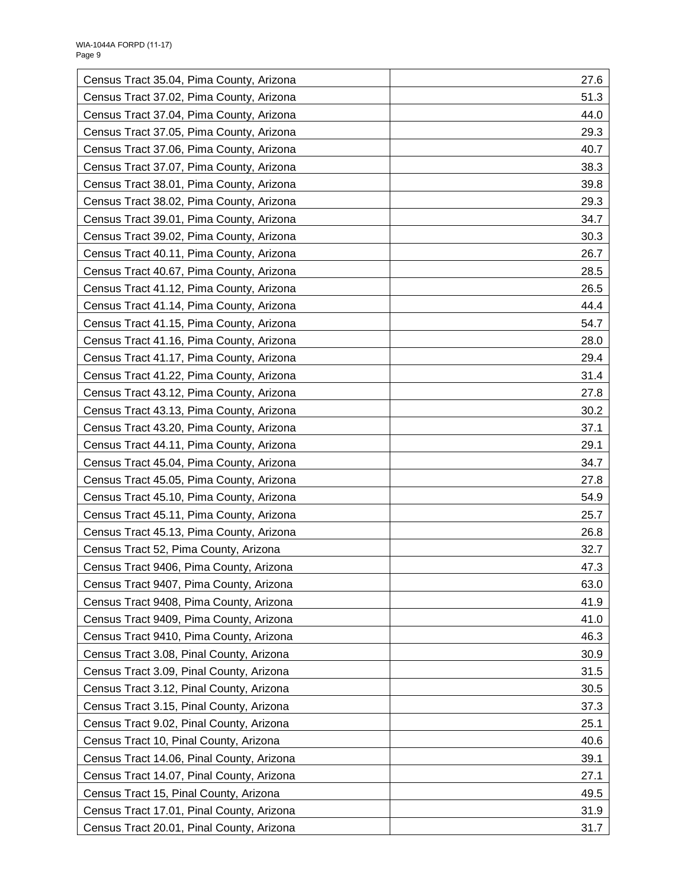| Census Tract 35.04, Pima County, Arizona  | 27.6 |
|-------------------------------------------|------|
| Census Tract 37.02, Pima County, Arizona  | 51.3 |
| Census Tract 37.04, Pima County, Arizona  | 44.0 |
| Census Tract 37.05, Pima County, Arizona  | 29.3 |
| Census Tract 37.06, Pima County, Arizona  | 40.7 |
| Census Tract 37.07, Pima County, Arizona  | 38.3 |
| Census Tract 38.01, Pima County, Arizona  | 39.8 |
| Census Tract 38.02, Pima County, Arizona  | 29.3 |
| Census Tract 39.01, Pima County, Arizona  | 34.7 |
| Census Tract 39.02, Pima County, Arizona  | 30.3 |
| Census Tract 40.11, Pima County, Arizona  | 26.7 |
| Census Tract 40.67, Pima County, Arizona  | 28.5 |
| Census Tract 41.12, Pima County, Arizona  | 26.5 |
| Census Tract 41.14, Pima County, Arizona  | 44.4 |
| Census Tract 41.15, Pima County, Arizona  | 54.7 |
| Census Tract 41.16, Pima County, Arizona  | 28.0 |
| Census Tract 41.17, Pima County, Arizona  | 29.4 |
| Census Tract 41.22, Pima County, Arizona  | 31.4 |
| Census Tract 43.12, Pima County, Arizona  | 27.8 |
| Census Tract 43.13, Pima County, Arizona  | 30.2 |
| Census Tract 43.20, Pima County, Arizona  | 37.1 |
| Census Tract 44.11, Pima County, Arizona  | 29.1 |
| Census Tract 45.04, Pima County, Arizona  | 34.7 |
| Census Tract 45.05, Pima County, Arizona  | 27.8 |
| Census Tract 45.10, Pima County, Arizona  | 54.9 |
| Census Tract 45.11, Pima County, Arizona  | 25.7 |
| Census Tract 45.13, Pima County, Arizona  | 26.8 |
| Census Tract 52, Pima County, Arizona     | 32.7 |
| Census Tract 9406, Pima County, Arizona   | 47.3 |
| Census Tract 9407, Pima County, Arizona   | 63.0 |
| Census Tract 9408, Pima County, Arizona   | 41.9 |
| Census Tract 9409, Pima County, Arizona   | 41.0 |
| Census Tract 9410, Pima County, Arizona   | 46.3 |
| Census Tract 3.08, Pinal County, Arizona  | 30.9 |
| Census Tract 3.09, Pinal County, Arizona  | 31.5 |
| Census Tract 3.12, Pinal County, Arizona  | 30.5 |
| Census Tract 3.15, Pinal County, Arizona  | 37.3 |
| Census Tract 9.02, Pinal County, Arizona  | 25.1 |
| Census Tract 10, Pinal County, Arizona    | 40.6 |
| Census Tract 14.06, Pinal County, Arizona | 39.1 |
| Census Tract 14.07, Pinal County, Arizona | 27.1 |
| Census Tract 15, Pinal County, Arizona    | 49.5 |
| Census Tract 17.01, Pinal County, Arizona | 31.9 |
| Census Tract 20.01, Pinal County, Arizona | 31.7 |